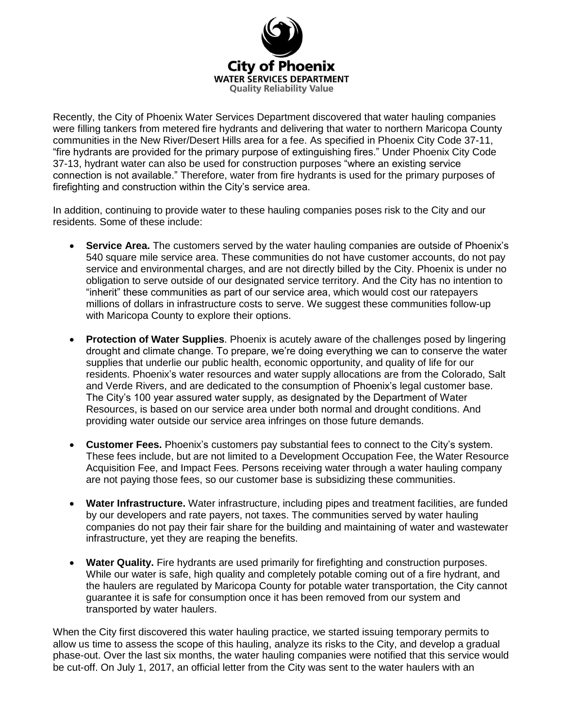

Recently, the City of Phoenix Water Services Department discovered that water hauling companies were filling tankers from metered fire hydrants and delivering that water to northern Maricopa County communities in the New River/Desert Hills area for a fee. As specified in Phoenix City Code 37-11, "fire hydrants are provided for the primary purpose of extinguishing fires." Under Phoenix City Code 37-13, hydrant water can also be used for construction purposes "where an existing service connection is not available." Therefore, water from fire hydrants is used for the primary purposes of firefighting and construction within the City's service area.

In addition, continuing to provide water to these hauling companies poses risk to the City and our residents. Some of these include:

- **Service Area.** The customers served by the water hauling companies are outside of Phoenix's 540 square mile service area. These communities do not have customer accounts, do not pay service and environmental charges, and are not directly billed by the City. Phoenix is under no obligation to serve outside of our designated service territory. And the City has no intention to "inherit" these communities as part of our service area, which would cost our ratepayers millions of dollars in infrastructure costs to serve. We suggest these communities follow-up with Maricopa County to explore their options.
- **Protection of Water Supplies**. Phoenix is acutely aware of the challenges posed by lingering drought and climate change. To prepare, we're doing everything we can to conserve the water supplies that underlie our public health, economic opportunity, and quality of life for our residents. Phoenix's water resources and water supply allocations are from the Colorado, Salt and Verde Rivers, and are dedicated to the consumption of Phoenix's legal customer base. The City's 100 year assured water supply, as designated by the Department of Water Resources, is based on our service area under both normal and drought conditions. And providing water outside our service area infringes on those future demands.
- **Customer Fees.** Phoenix's customers pay substantial fees to connect to the City's system. These fees include, but are not limited to a Development Occupation Fee, the Water Resource Acquisition Fee, and Impact Fees. Persons receiving water through a water hauling company are not paying those fees, so our customer base is subsidizing these communities.
- **Water Infrastructure.** Water infrastructure, including pipes and treatment facilities, are funded by our developers and rate payers, not taxes. The communities served by water hauling companies do not pay their fair share for the building and maintaining of water and wastewater infrastructure, yet they are reaping the benefits.
- **Water Quality.** Fire hydrants are used primarily for firefighting and construction purposes. While our water is safe, high quality and completely potable coming out of a fire hydrant, and the haulers are regulated by Maricopa County for potable water transportation, the City cannot guarantee it is safe for consumption once it has been removed from our system and transported by water haulers.

When the City first discovered this water hauling practice, we started issuing temporary permits to allow us time to assess the scope of this hauling, analyze its risks to the City, and develop a gradual phase-out. Over the last six months, the water hauling companies were notified that this service would be cut-off. On July 1, 2017, an official letter from the City was sent to the water haulers with an